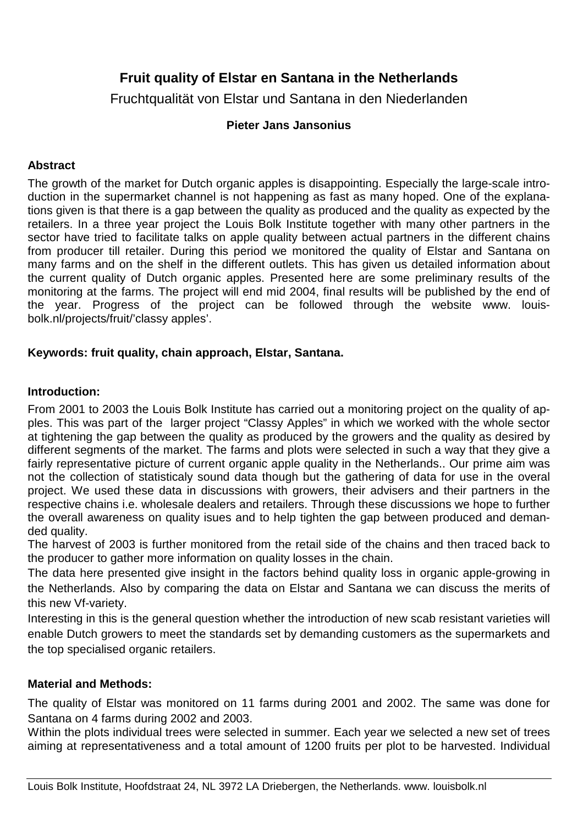# **Fruit quality of Elstar en Santana in the Netherlands**

Fruchtqualität von Elstar und Santana in den Niederlanden

## **Pieter Jans Jansonius**

## **Abstract**

The growth of the market for Dutch organic apples is disappointing. Especially the large-scale introduction in the supermarket channel is not happening as fast as many hoped. One of the explanations given is that there is a gap between the quality as produced and the quality as expected by the retailers. In a three year project the Louis Bolk Institute together with many other partners in the sector have tried to facilitate talks on apple quality between actual partners in the different chains from producer till retailer. During this period we monitored the quality of Elstar and Santana on many farms and on the shelf in the different outlets. This has given us detailed information about the current quality of Dutch organic apples. Presented here are some preliminary results of the monitoring at the farms. The project will end mid 2004, final results will be published by the end of the year. Progress of the project can be followed through the website www. louisbolk.nl/projects/fruit/'classy apples'.

## **Keywords: fruit quality, chain approach, Elstar, Santana.**

### **Introduction:**

From 2001 to 2003 the Louis Bolk Institute has carried out a monitoring project on the quality of apples. This was part of the larger project "Classy Apples" in which we worked with the whole sector at tightening the gap between the quality as produced by the growers and the quality as desired by different segments of the market. The farms and plots were selected in such a way that they give a fairly representative picture of current organic apple quality in the Netherlands.. Our prime aim was not the collection of statisticaly sound data though but the gathering of data for use in the overal project. We used these data in discussions with growers, their advisers and their partners in the respective chains i.e. wholesale dealers and retailers. Through these discussions we hope to further the overall awareness on quality isues and to help tighten the gap between produced and demanded quality.

The harvest of 2003 is further monitored from the retail side of the chains and then traced back to the producer to gather more information on quality losses in the chain.

The data here presented give insight in the factors behind quality loss in organic apple-growing in the Netherlands. Also by comparing the data on Elstar and Santana we can discuss the merits of this new Vf-variety.

Interesting in this is the general question whether the introduction of new scab resistant varieties will enable Dutch growers to meet the standards set by demanding customers as the supermarkets and the top specialised organic retailers.

#### **Material and Methods:**

The quality of Elstar was monitored on 11 farms during 2001 and 2002. The same was done for Santana on 4 farms during 2002 and 2003.

Within the plots individual trees were selected in summer. Each year we selected a new set of trees aiming at representativeness and a total amount of 1200 fruits per plot to be harvested. Individual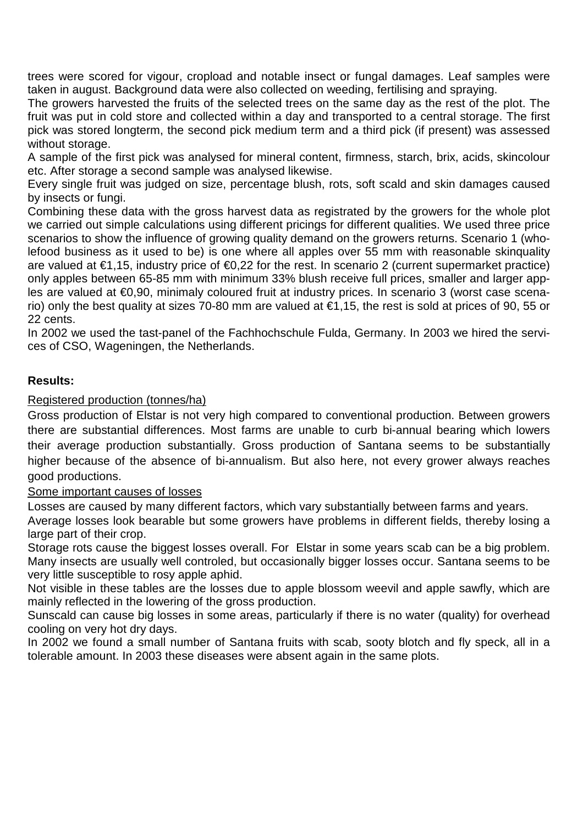trees were scored for vigour, cropload and notable insect or fungal damages. Leaf samples were taken in august. Background data were also collected on weeding, fertilising and spraying.

The growers harvested the fruits of the selected trees on the same day as the rest of the plot. The fruit was put in cold store and collected within a day and transported to a central storage. The first pick was stored longterm, the second pick medium term and a third pick (if present) was assessed without storage.

A sample of the first pick was analysed for mineral content, firmness, starch, brix, acids, skincolour etc. After storage a second sample was analysed likewise.

Every single fruit was judged on size, percentage blush, rots, soft scald and skin damages caused by insects or fungi.

Combining these data with the gross harvest data as registrated by the growers for the whole plot we carried out simple calculations using different pricings for different qualities. We used three price scenarios to show the influence of growing quality demand on the growers returns. Scenario 1 (wholefood business as it used to be) is one where all apples over 55 mm with reasonable skinquality are valued at €1,15, industry price of €0,22 for the rest. In scenario 2 (current supermarket practice) only apples between 65-85 mm with minimum 33% blush receive full prices, smaller and larger apples are valued at €0,90, minimaly coloured fruit at industry prices. In scenario 3 (worst case scenario) only the best quality at sizes 70-80 mm are valued at €1,15, the rest is sold at prices of 90, 55 or 22 cents.

In 2002 we used the tast-panel of the Fachhochschule Fulda, Germany. In 2003 we hired the services of CSO, Wageningen, the Netherlands.

## **Results:**

#### Registered production (tonnes/ha)

Gross production of Elstar is not very high compared to conventional production. Between growers there are substantial differences. Most farms are unable to curb bi-annual bearing which lowers their average production substantially. Gross production of Santana seems to be substantially higher because of the absence of bi-annualism. But also here, not every grower always reaches good productions.

#### Some important causes of losses

Losses are caused by many different factors, which vary substantially between farms and years.

Average losses look bearable but some growers have problems in different fields, thereby losing a large part of their crop.

Storage rots cause the biggest losses overall. For Elstar in some years scab can be a big problem. Many insects are usually well controled, but occasionally bigger losses occur. Santana seems to be very little susceptible to rosy apple aphid.

Not visible in these tables are the losses due to apple blossom weevil and apple sawfly, which are mainly reflected in the lowering of the gross production.

Sunscald can cause big losses in some areas, particularly if there is no water (quality) for overhead cooling on very hot dry days.

In 2002 we found a small number of Santana fruits with scab, sooty blotch and fly speck, all in a tolerable amount. In 2003 these diseases were absent again in the same plots.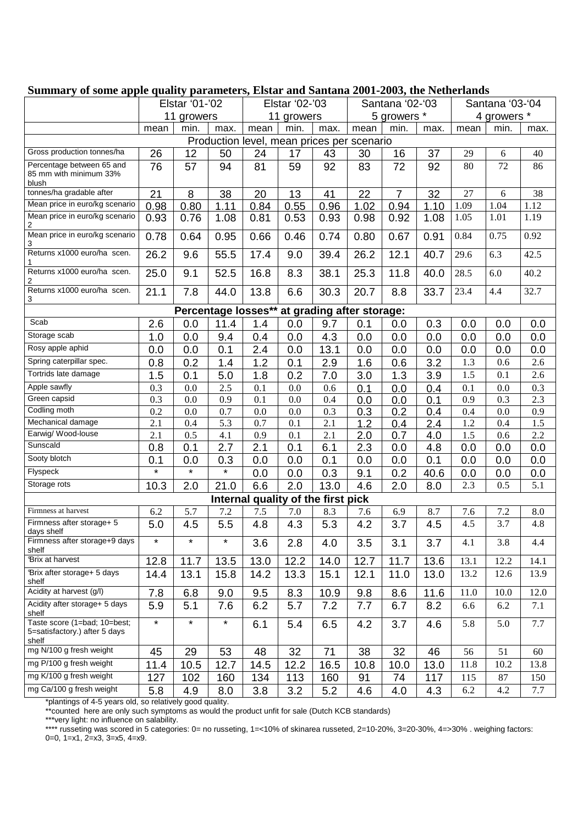| $\sim$ $\mu$ $\mu$ $\mu$ $\mu$ $\mu$                                                                                       | Elstar '01-'02 |         |         | Elstar '02-'03 |      |      | $\mu$ quanty parameters, Library and Santana 2001 2006, the Fremerian s<br>Santana '02-'03 |                |      | Santana '03-'04 |      |      |
|----------------------------------------------------------------------------------------------------------------------------|----------------|---------|---------|----------------|------|------|--------------------------------------------------------------------------------------------|----------------|------|-----------------|------|------|
|                                                                                                                            | 11 growers     |         |         | 11 growers     |      |      | 5 growers *                                                                                |                |      | 4 growers *     |      |      |
|                                                                                                                            |                |         |         |                | min. |      |                                                                                            | min.           |      |                 |      |      |
| min.<br>max.<br>mean<br>min.<br>mean<br>max.<br>mean<br>max.<br>mean<br>max.<br>Production level, mean prices per scenario |                |         |         |                |      |      |                                                                                            |                |      |                 |      |      |
| Gross production tonnes/ha                                                                                                 |                |         |         |                |      |      |                                                                                            |                |      |                 |      |      |
|                                                                                                                            | 26             | 12      | 50      | 24             | 17   | 43   | 30                                                                                         | 16             | 37   | 29              | 6    | 40   |
| Percentage between 65 and<br>85 mm with minimum 33%<br>blush                                                               | 76             | 57      | 94      | 81             | 59   | 92   | 83                                                                                         | 72             | 92   | 80              | 72   | 86   |
| tonnes/ha gradable after                                                                                                   | 21             | 8       | 38      | 20             | 13   | 41   | 22                                                                                         | $\overline{7}$ | 32   | 27              | 6    | 38   |
| Mean price in euro/kg scenario                                                                                             | 0.98           | 0.80    | 1.11    | 0.84           | 0.55 | 0.96 | 1.02                                                                                       | 0.94           | 1.10 | 1.09            | 1.04 | 1.12 |
| Mean price in euro/kg scenario<br>2                                                                                        | 0.93           | 0.76    | 1.08    | 0.81           | 0.53 | 0.93 | 0.98                                                                                       | 0.92           | 1.08 | 1.05            | 1.01 | 1.19 |
| Mean price in euro/kg scenario                                                                                             | 0.78           | 0.64    | 0.95    | 0.66           | 0.46 | 0.74 | 0.80                                                                                       | 0.67           | 0.91 | 0.84            | 0.75 | 0.92 |
| Returns x1000 euro/ha scen.                                                                                                | 26.2           | 9.6     | 55.5    | 17.4           | 9.0  | 39.4 | 26.2                                                                                       | 12.1           | 40.7 | 29.6            | 6.3  | 42.5 |
| Returns x1000 euro/ha scen.<br>2                                                                                           | 25.0           | 9.1     | 52.5    | 16.8           | 8.3  | 38.1 | 25.3                                                                                       | 11.8           | 40.0 | 28.5            | 6.0  | 40.2 |
| Returns x1000 euro/ha scen.<br>3                                                                                           | 21.1           | 7.8     | 44.0    | 13.8           | 6.6  | 30.3 | 20.7                                                                                       | 8.8            | 33.7 | 23.4            | 4.4  | 32.7 |
| Percentage losses** at grading after storage:                                                                              |                |         |         |                |      |      |                                                                                            |                |      |                 |      |      |
| Scab                                                                                                                       | 2.6            | 0.0     | 11.4    | 1.4            | 0.0  | 9.7  | 0.1                                                                                        | 0.0            | 0.3  | 0.0             | 0.0  | 0.0  |
| Storage scab                                                                                                               | 1.0            | 0.0     | 9.4     | 0.4            | 0.0  | 4.3  | 0.0                                                                                        | 0.0            | 0.0  | 0.0             | 0.0  | 0.0  |
| Rosy apple aphid                                                                                                           | 0.0            | 0.0     | 0.1     | 2.4            | 0.0  | 13.1 | 0.0                                                                                        | 0.0            | 0.0  | 0.0             | 0.0  | 0.0  |
| Spring caterpillar spec.                                                                                                   | 0.8            | 0.2     | 1.4     | 1.2            | 0.1  | 2.9  | 1.6                                                                                        | 0.6            | 3.2  | 1.3             | 0.6  | 2.6  |
| Tortrids late damage                                                                                                       | 1.5            | 0.1     | 5.0     | 1.8            | 0.2  | 7.0  | 3.0                                                                                        | 1.3            | 3.9  | 1.5             | 0.1  | 2.6  |
| Apple sawfly                                                                                                               | 0.3            | 0.0     | 2.5     | 0.1            | 0.0  | 0.6  | 0.1                                                                                        | 0.0            | 0.4  | 0.1             | 0.0  | 0.3  |
| Green capsid                                                                                                               | 0.3            | 0.0     | 0.9     | 0.1            | 0.0  | 0.4  | 0.0                                                                                        | 0.0            | 0.1  | 0.9             | 0.3  | 2.3  |
| Codling moth                                                                                                               | 0.2            | 0.0     | 0.7     | 0.0            | 0.0  | 0.3  | 0.3                                                                                        | 0.2            | 0.4  | 0.4             | 0.0  | 0.9  |
| Mechanical damage                                                                                                          | 2.1            | 0.4     | 5.3     | 0.7            | 0.1  | 2.1  | 1.2                                                                                        | 0.4            | 2.4  | 1.2             | 0.4  | 1.5  |
| Earwig/ Wood-louse                                                                                                         | 2.1            | 0.5     | 4.1     | 0.9            | 0.1  | 2.1  | 2.0                                                                                        | 0.7            | 4.0  | 1.5             | 0.6  | 2.2  |
| Sunscald                                                                                                                   | 0.8            | 0.1     | 2.7     | 2.1            | 0.1  | 6.1  | 2.3                                                                                        | 0.0            | 4.8  | 0.0             | 0.0  | 0.0  |
| Sooty blotch                                                                                                               | 0.1            | 0.0     | 0.3     | 0.0            | 0.0  | 0.1  | 0.0                                                                                        | 0.0            | 0.1  | 0.0             | 0.0  | 0.0  |
| Flyspeck                                                                                                                   | $\star$        | $\star$ | $\star$ | 0.0            | 0.0  | 0.3  | 9.1                                                                                        | 0.2            | 40.6 | 0.0             | 0.0  | 0.0  |
| Storage rots                                                                                                               | 10.3           | 2.0     | 21.0    | 6.6            | 2.0  | 13.0 | 4.6                                                                                        | 2.0            | 8.0  | 2.3             | 0.5  | 5.1  |
| Internal quality of the first pick                                                                                         |                |         |         |                |      |      |                                                                                            |                |      |                 |      |      |
| Firmness at harvest                                                                                                        | 6.2            | 5.7     | 7.2     | 7.5            | 7.0  | 8.3  | 7.6                                                                                        | 6.9            | 8.7  | 7.6             | 7.2  | 8.0  |
| Firmness after storage+ 5<br>days shelf                                                                                    | 5.0            | 4.5     | 5.5     | 4.8            | 4.3  | 5.3  | 4.2                                                                                        | 3.7            | 4.5  | 4.5             | 3.7  | 4.8  |
| Firmness after storage+9 days<br>shelf                                                                                     | $\star$        | $\star$ | $\star$ | 3.6            | 2.8  | 4.0  | 3.5                                                                                        | 3.1            | 3.7  | 4.1             | 3.8  | 4.4  |
| <b>Brix at harvest</b>                                                                                                     | 12.8           | 11.7    | 13.5    | 13.0           | 12.2 | 14.0 | 12.7                                                                                       | 11.7           | 13.6 | 13.1            | 12.2 | 14.1 |
| Brix after storage+ 5 days<br>shelf                                                                                        | 14.4           | 13.1    | 15.8    | 14.2           | 13.3 | 15.1 | 12.1                                                                                       | 11.0           | 13.0 | 13.2            | 12.6 | 13.9 |
| Acidity at harvest (g/l)                                                                                                   | 7.8            | 6.8     | 9.0     | 9.5            | 8.3  | 10.9 | 9.8                                                                                        | 8.6            | 11.6 | 11.0            | 10.0 | 12.0 |
| Acidity after storage+ 5 days<br>shelf                                                                                     | 5.9            | 5.1     | 7.6     | 6.2            | 5.7  | 7.2  | 7.7                                                                                        | 6.7            | 8.2  | 6.6             | 6.2  | 7.1  |
| Taste score (1=bad; 10=best;<br>5=satisfactory.) after 5 days<br>shelf                                                     | $\star$        | $\star$ | $\star$ | 6.1            | 5.4  | 6.5  | 4.2                                                                                        | 3.7            | 4.6  | 5.8             | 5.0  | 7.7  |
| mg N/100 g fresh weight                                                                                                    | 45             | 29      | 53      | 48             | 32   | 71   | 38                                                                                         | 32             | 46   | 56              | 51   | 60   |
| mg P/100 g fresh weight                                                                                                    | 11.4           | 10.5    | 12.7    | 14.5           | 12.2 | 16.5 | 10.8                                                                                       | 10.0           | 13.0 | 11.8            | 10.2 | 13.8 |
| mg K/100 g fresh weight                                                                                                    | 127            | 102     | 160     | 134            | 113  | 160  | 91                                                                                         | 74             | 117  | 115             | 87   | 150  |
| mg Ca/100 g fresh weight                                                                                                   | 5.8            | 4.9     | 8.0     | 3.8            | 3.2  | 5.2  | 4.6                                                                                        | 4.0            | 4.3  | 6.2             | 4.2  | 7.7  |

#### **Summary of some apple quality parameters, Elstar and Santana 2001-2003, the Netherlands**

\*plantings of 4-5 years old, so relatively good quality.

\*\*counted here are only such symptoms as would the product unfit for sale (Dutch KCB standards)

\*\*\*very light: no influence on salability.

\*\*\*\* russeting was scored in 5 categories: 0= no russeting, 1=<10% of skinarea russeted, 2=10-20%, 3=20-30%, 4=>30% . weighing factors: 0=0, 1=x1, 2=x3, 3=x5, 4=x9.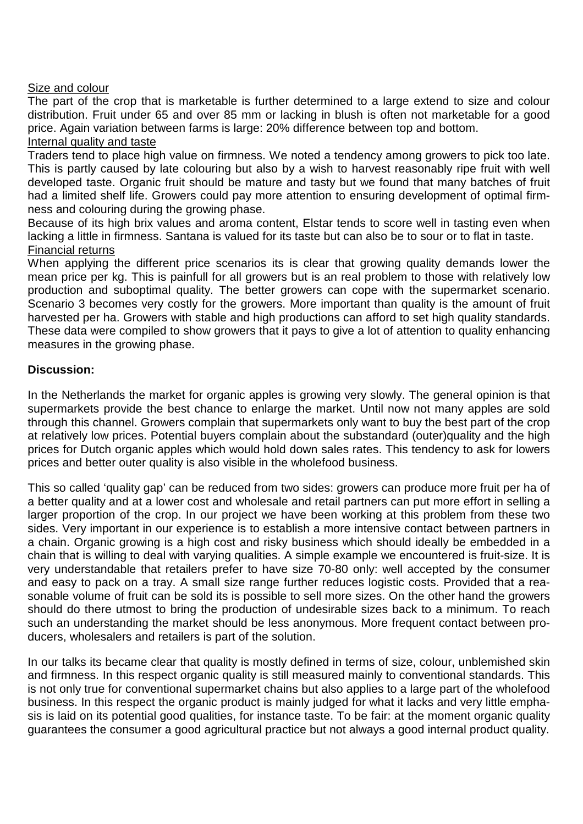#### Size and colour

The part of the crop that is marketable is further determined to a large extend to size and colour distribution. Fruit under 65 and over 85 mm or lacking in blush is often not marketable for a good price. Again variation between farms is large: 20% difference between top and bottom.

#### Internal quality and taste

Traders tend to place high value on firmness. We noted a tendency among growers to pick too late. This is partly caused by late colouring but also by a wish to harvest reasonably ripe fruit with well developed taste. Organic fruit should be mature and tasty but we found that many batches of fruit had a limited shelf life. Growers could pay more attention to ensuring development of optimal firmness and colouring during the growing phase.

Because of its high brix values and aroma content, Elstar tends to score well in tasting even when lacking a little in firmness. Santana is valued for its taste but can also be to sour or to flat in taste. Financial returns

When applying the different price scenarios its is clear that growing quality demands lower the mean price per kg. This is painfull for all growers but is an real problem to those with relatively low production and suboptimal quality. The better growers can cope with the supermarket scenario. Scenario 3 becomes very costly for the growers. More important than quality is the amount of fruit harvested per ha. Growers with stable and high productions can afford to set high quality standards. These data were compiled to show growers that it pays to give a lot of attention to quality enhancing measures in the growing phase.

### **Discussion:**

In the Netherlands the market for organic apples is growing very slowly. The general opinion is that supermarkets provide the best chance to enlarge the market. Until now not many apples are sold through this channel. Growers complain that supermarkets only want to buy the best part of the crop at relatively low prices. Potential buyers complain about the substandard (outer)quality and the high prices for Dutch organic apples which would hold down sales rates. This tendency to ask for lowers prices and better outer quality is also visible in the wholefood business.

This so called 'quality gap' can be reduced from two sides: growers can produce more fruit per ha of a better quality and at a lower cost and wholesale and retail partners can put more effort in selling a larger proportion of the crop. In our project we have been working at this problem from these two sides. Very important in our experience is to establish a more intensive contact between partners in a chain. Organic growing is a high cost and risky business which should ideally be embedded in a chain that is willing to deal with varying qualities. A simple example we encountered is fruit-size. It is very understandable that retailers prefer to have size 70-80 only: well accepted by the consumer and easy to pack on a tray. A small size range further reduces logistic costs. Provided that a reasonable volume of fruit can be sold its is possible to sell more sizes. On the other hand the growers should do there utmost to bring the production of undesirable sizes back to a minimum. To reach such an understanding the market should be less anonymous. More frequent contact between producers, wholesalers and retailers is part of the solution.

In our talks its became clear that quality is mostly defined in terms of size, colour, unblemished skin and firmness. In this respect organic quality is still measured mainly to conventional standards. This is not only true for conventional supermarket chains but also applies to a large part of the wholefood business. In this respect the organic product is mainly judged for what it lacks and very little emphasis is laid on its potential good qualities, for instance taste. To be fair: at the moment organic quality guarantees the consumer a good agricultural practice but not always a good internal product quality.